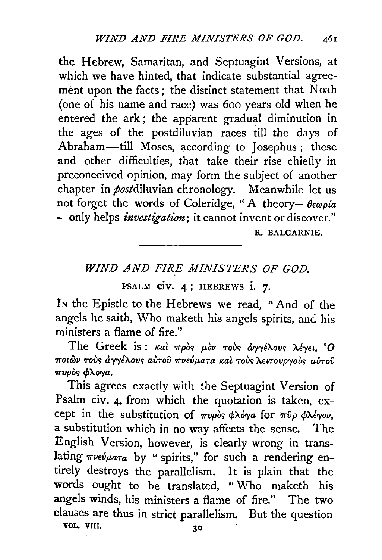the Hebrew, Samaritan, and Septuagint Versions, at which we have hinted, that indicate substantial agreement upon the facts; the distinct statement that Noah (one of his name and race) was 6oo years old when he entered the ark; the apparent gradual diminution in the ages of the postdiluvian races till the days of Abraham-till Moses, according to Josephus; these and other difficulties, that take their rise chiefly in preconceived opinion, may form the subject of another chapter in *post*diluvian chronology. Meanwhile let us not forget the words of Coleridge, "A theory- $\theta \epsilon \omega \rho / a$ -only helps *investigation*; it cannot invent or discover."

R. BALGARNIE.

## *WIND AND FIRE MINISTERS OF GOD.*

PSALM civ. 4; HEBREWS i. 7.

IN the Epistle to the Hebrews we read, "And of the angels he saith, Who maketh his angels spirits, and his ministers a flame of fire."

The Greek is: και προς μεν τους αγγέλους λέγει, 'Ο *ποιών τούς άγγέλους αύτου πνεύματα καί τούς λειτουργούς αύτου*  $\pi\nu\rho\grave{o}s$  φλογα.

This agrees exactly with the Septuagint Version of Psalm civ. 4, from which the quotation is taken, except in the substitution of  $\pi\nu\rho\delta s \phi \lambda \delta \gamma a$  for  $\pi \hat{\nu} \rho \phi \lambda \epsilon \gamma \delta \nu$ , a substitution which in no way affects the sense. The English Version, however, is clearly wrong in translating  $\pi\nu\epsilon\psi\mu\alpha\tau a$  by " spirits," for such a rendering entirely destroys the parallelism. It is plain that the words ought to be translated, " Who maketh his angels winds, his ministers a flame of fire." The two clauses are thus in strict parallelism. But the question VOL. VIII.  $30$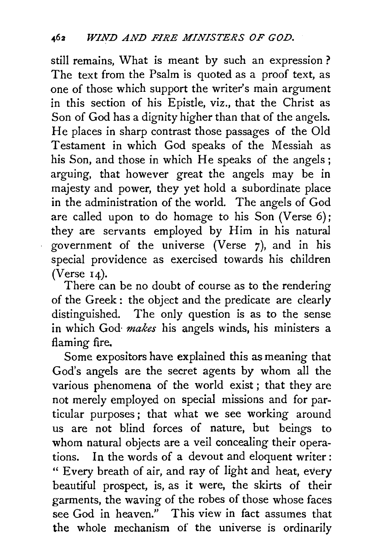still remains, What is meant by such an expression ? The text from the Psalm is quoted as a proof text, as one of those which support the writer's main argument in this section of his Epistle, viz., that the Christ as Son of God has a dignity higher than that of the angels. He places in sharp contrast those passages of the Old Testament in which God speaks of the Messiah as his Son, and those in which He speaks of the angels; arguing, that however great the angels may be in majesty and power, they yet hold a subordinate place in the administration of the world. The angels of God are called upon to do homage to his Son (Verse 6); they are servants employed by Him in his natural government of the universe (Verse 7), and in his special providence as exercised towards his children (Verse  $14$ ).

There can be no doubt of course as to the rendering of the Greek : the object and the predicate are clearly distinguished. The only question is as to the sense in which God- *makes* his angels winds, his ministers a flaming fire.

Some expositors have explained this as meaning that God's angels are the secret agents by whom all the various phenomena of the world exist ; that they are not merely employed on special missions and for particular purposes ; that what we see working around us are not blind forces of nature, but beings to whom natural objects are a veil concealing their operations. In the words of a devout and eloquent writer: " Every breath of air, and ray of light and heat, every beautiful prospect, is, as it were, the skirts of their garments, the waving of the robes of those whose faces see God in heaven." This view in fact assumes that the whole mechanism of the universe is ordinarily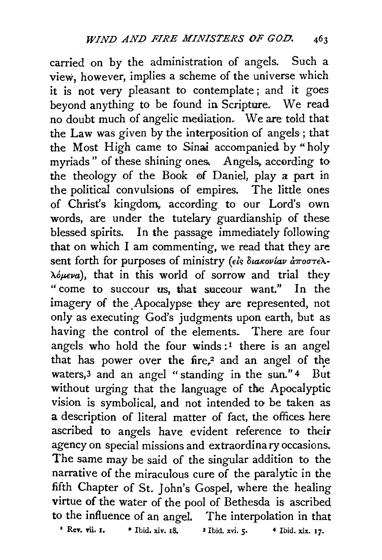carried on by the administration of angels. Such a view, however, implies a scheme of the universe which it is not very pleasant to contemplate ; and it goes beyond anything to be found in Scripture. We read no doubt much of angelic mediation.. We are told that the Law was given by the interposition of angels; that the Most High came to Sinai accompanied by "holy myriads" of these shining ones. Angels, according to the theology of the Book of Daniel, play a part in the political convulsions of empires. The little ones of Christ's kingdom,. according to our Lord's own words, are under the tutelary guardianship of these blessed spirits. In the passage immediately following that on which I am commenting, we read that they are sent forth for purposes of ministry (els *Stakovlav aroore*). *A.op.eva),* that in this world of sorrow and trial they "come to succour *us,* that succour want." In the imagery of the Apocalypse they are represented, not only as executing God's judgments upon earth, but as having the control of the elements. There are four angels who hold the four winds:<sup>1</sup> there is an angel that has power over the fire,<sup>2</sup> and an angel of the waters,3 and an angel "standing in the sun." 4 But without urging that the language of the Apocalyptic vision is symbolical, and not intended to be taken as a description of literal matter of fact, the offices here ascribed to angels have evident reference to their agency on special missions and extraordinary occasions. The same may be said of the singular addition to the narrative of the miraculous cure of the paralytic in the fifth Chapter of St. John's Gospel, where the healing virtue of the water of the pool of Bethesda is ascribed to the influence of an angel. The interpolation in that <sup>1</sup>Rev. Yii. I. • Ibid. xiv. IS, 3 Ibid. xvi. *5•* 4 Ibid. xix. I7·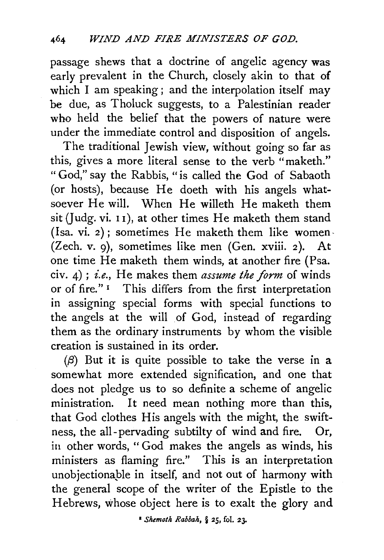passage shews that a doctrine of angelic agency was early prevalent in the Church, closely akin to that of which I am speaking; and the interpolation itself may be due, as Tholuck suggests, to a Palestinian reader who held the belief that the powers of nature were under the immediate control and disposition of angels.

The traditional Jewish view, without going so far as this, gives a more literal sense to the verb "maketh." "God," say the Rabbis, "is called the God of Sabaoth (or hosts), because He doeth with his angels whatsoever He will. When He willeth He maketh them sit (Judg. vi. 11), at other times He maketh them stand (lsa. vi. 2); sometimes He maketh them like women- (Zech. *v.* 9), sometimes like men (Gen. xviii. 2). At one time He maketh them winds, at another fire (Psa. civ. 4) ; *i.e.,* He makes them *assume the form* of winds or of fire." 1 This differs from the first interpretation in assigning special forms with special functions to the angels at the will of God, instead of regarding them as the ordinary instruments by whom the visible creation is sustained in its order.

 $(\beta)$  But it is quite possible to take the verse in a somewhat more extended signification, and one that does not pledge us to so definite a scheme of angelic ministration. It need mean nothing more than this, that God clothes His angels with the might, the swiftness, the all-pervading subtilty of wind and fire. Or, in other words, " God makes the angels as winds, his ministers as flaming fire." This is an interpretation unobjectionaple in itself, and not out of harmony with the general scope of the writer of the Epistle to the Hebrews, whose object here is to exalt the glory and

1 *Shemoth Rabbah,* § 25, fol. 23.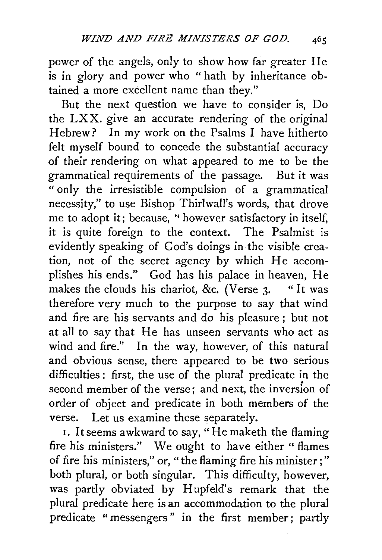power of the angels, only to show how far greater He is in glory and power who " hath by inheritance obtained a more excellent name than they."

But the next question we have to consider is, Do the LXX. give an accurate rendering of the original Hebrew? In my work on the Psalms I have hitherto felt myself bound to concede the substantial accuracy of their rendering on what appeared to me to be the grammatical requirements of the passage. But it was " only the irresistible compulsion of a grammatical necessity," to use Bishop Thirlwall's words, that drove me to adopt it; because, " however satisfactory in itself, it is quite foreign to the context. The Psalmist is evidently speaking of God's doings in the visible creation, not of the secret agency by which He accomplishes his ends." God has his palace in heaven, He makes the clouds his chariot, &c. (Verse  $3.$  "It was therefore very much to the purpose to say that wind and fire are his servants and do his pleasure ; but not at all to say that He has unseen servants who act as wind and fire." In the way, however, of this natural and obvious sense, there appeared to be two serious difficulties: first, the use of the plural predicate in the second member of the verse; and next, the inversion of order of object and predicate in both members of the verse. Let us examine these separately.

1. Itseems awkward to say, "Hemaketh the flaming fire his ministers." We ought to have either " flames of fire his ministers," or, "the flaming fire his minister;" both plural, or both singular. This difficulty, however, was partly obviated by Hupfeld's remark that the plural predicate here is an accommodation to the plural predicate "messengers" in the first member; partly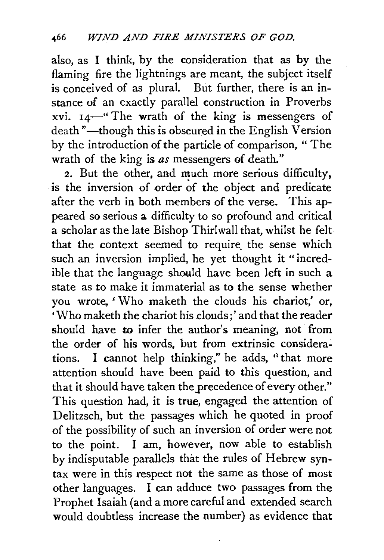also, as I think, by the consideration that as by the flaming fire the lightnings are meant, the subject itself is conceived of as plural. But further, there is an instance of an exactly parallel construction in Proverbs xvi.  $14$ —" The wrath of the king is messengers of death "-though this is obscured in the English Version by the introduction of the particle of comparison, " The wrath of the king is *as* messengers of death."

2. But the other, and much more serious difficulty, is the inversion of order of the object and predicate after the verb in both members of the verse. This appeared so serious a difficulty to so profound and critical a scholar as the late Bishop Thirlwall that, whilst he feltthat the context seemed to require the sense which such an inversion implied, he yet thought it "incredible that the language should have been left in such a state as to make it immaterial as to the sense whether you wrote. ' Who maketh the clouds his chariot,' or, 'Who maketh the chariot his douds;' and that the reader should have to infer the author's meaning, not from the order of his words, but from extrinsic considerations. I cannot help thinking," he adds, ''that more attention should have been paid to this question, and that it should have taken the precedence of every other." This question had, it is true, engaged the attention of Delitzsch, but the passages which he quoted in proof of the possibility of such an inversion of order were not to the point. I am, however, now able to establish by indisputable parallels that the rules of Hebrew syntax were in this respect not the same as those of most other languages. I can adduce two passages from the Prophet Isaiah (and a more careful and extended search would doubtless increase the number) as evidence that